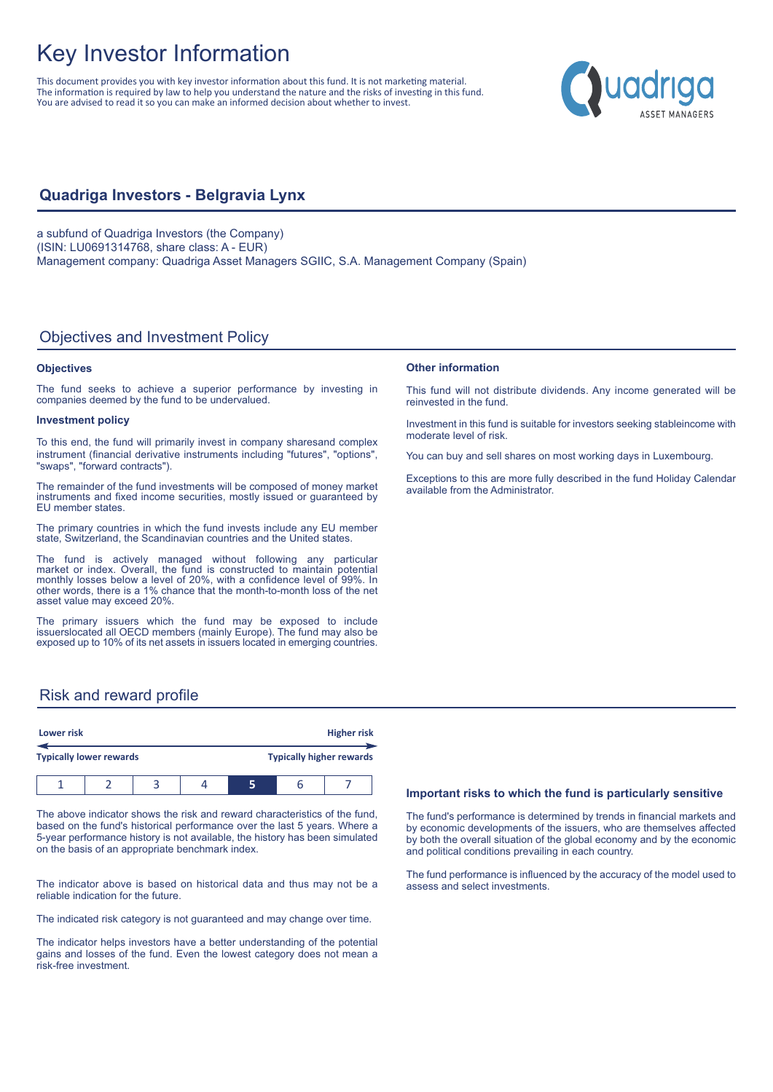# Key Investor Information

This document provides you with key investor information about this fund. It is not marketing material. The information is required by law to help you understand the nature and the risks of investing in this fund. You are advised to read it so you can make an informed decision about whether to invest.



## **Quadriga Investors - Belgravia Lynx**

a subfund of Quadriga Investors (the Company) (ISIN: LU0691314768, share class: A - EUR) Management company: Quadriga Asset Managers SGIIC, S.A. Management Company (Spain)

## Objectives and Investment Policy

### **Objectives**

The fund seeks to achieve a superior performance by investing in companies deemed by the fund to be undervalued.

#### **Investment policy**

To this end, the fund will primarily invest in company sharesand complex instrument (financial derivative instruments including "futures", "options", "swaps", "forward contracts").

The remainder of the fund investments will be composed of money market instruments and fixed income securities, mostly issued or guaranteed by EU member states.

The primary countries in which the fund invests include any EU member state, Switzerland, the Scandinavian countries and the United states.

The fund is actively managed without following any particular market or index. Overall, the fund is constructed to maintain potential monthly losses below a level of 20%, with a confidence level of 99%. In other words, there is a 1% chance that the month-to-month loss of the net asset value may exceed 20%.

The primary issuers which the fund may be exposed to include issuerslocated all OECD members (mainly Europe). The fund may also be exposed up to 10% of its net assets in issuers located in emerging countries.

# **Other information**

This fund will not distribute dividends. Any income generated will be reinvested in the fund.

Investment in this fund is suitable for investors seeking stableincome with moderate level of risk.

You can buy and sell shares on most working days in Luxembourg.

Exceptions to this are more fully described in the fund Holiday Calendar available from the Administrator.

## Risk and reward profile

| Lower risk |                                |  | <b>Higher risk</b><br><b>Typically higher rewards</b> |  |   |  |
|------------|--------------------------------|--|-------------------------------------------------------|--|---|--|
|            | <b>Typically lower rewards</b> |  |                                                       |  |   |  |
|            |                                |  |                                                       |  | h |  |

The above indicator shows the risk and reward characteristics of the fund, based on the fund's historical performance over the last 5 years. Where a 5-year performance history is not available, the history has been simulated on the basis of an appropriate benchmark index.

The indicator above is based on historical data and thus may not be a reliable indication for the future.

The indicated risk category is not guaranteed and may change over time.

The indicator helps investors have a better understanding of the potential gains and losses of the fund. Even the lowest category does not mean a risk-free investment.

#### **Important risks to which the fund is particularly sensitive**

The fund's performance is determined by trends in financial markets and by economic developments of the issuers, who are themselves affected by both the overall situation of the global economy and by the economic and political conditions prevailing in each country.

The fund performance is influenced by the accuracy of the model used to assess and select investments.